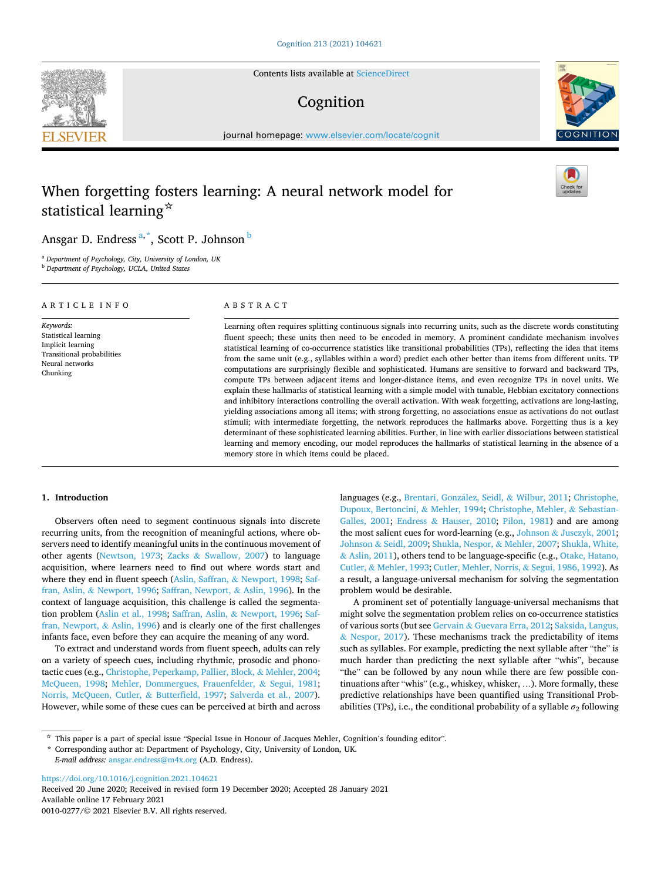Contents lists available at [ScienceDirect](www.sciencedirect.com/science/journal/00100277)

# Cognition

journal homepage: [www.elsevier.com/locate/cognit](https://www.elsevier.com/locate/cognit)

# When forgetting fosters learning: A neural network model for statistical learning☆

ABSTRACT

Ansgar D. Endress<sup>a,\*</sup>, Scott P. Johnson <sup>b</sup>

<sup>a</sup> *Department of Psychology, City, University of London, UK* 

<sup>b</sup> *Department of Psychology, UCLA, United States* 

ARTICLE INFO

*Keywords:*  Statistical learning Implicit learning Transitional probabilities Neural networks Chunking

Learning often requires splitting continuous signals into recurring units, such as the discrete words constituting fluent speech; these units then need to be encoded in memory. A prominent candidate mechanism involves statistical learning of co-occurrence statistics like transitional probabilities (TPs), reflecting the idea that items from the same unit (e.g., syllables within a word) predict each other better than items from different units. TP computations are surprisingly flexible and sophisticated. Humans are sensitive to forward and backward TPs, compute TPs between adjacent items and longer-distance items, and even recognize TPs in novel units. We explain these hallmarks of statistical learning with a simple model with tunable, Hebbian excitatory connections and inhibitory interactions controlling the overall activation. With weak forgetting, activations are long-lasting, yielding associations among all items; with strong forgetting, no associations ensue as activations do not outlast stimuli; with intermediate forgetting, the network reproduces the hallmarks above. Forgetting thus is a key determinant of these sophisticated learning abilities. Further, in line with earlier dissociations between statistical learning and memory encoding, our model reproduces the hallmarks of statistical learning in the absence of a memory store in which items could be placed.

# **1. Introduction**

Observers often need to segment continuous signals into discrete recurring units, from the recognition of meaningful actions, where observers need to identify meaningful units in the continuous movement of other agents ([Newtson, 1973;](#page-7-0) Zacks & [Swallow, 2007\)](#page-8-0) to language acquisition, where learners need to find out where words start and where they end in fluent speech (Aslin, Saffran, & [Newport, 1998;](#page-6-0) [Saf](#page-7-0)fran, Aslin, & [Newport, 1996](#page-7-0); [Saffran, Newport,](#page-7-0) & Aslin, 1996). In the context of language acquisition, this challenge is called the segmentation problem [\(Aslin et al., 1998;](#page-6-0) Saffran, Aslin, & [Newport, 1996](#page-7-0); [Saf](#page-7-0)[fran, Newport,](#page-7-0)  $&$  Aslin, 1996) and is clearly one of the first challenges infants face, even before they can acquire the meaning of any word.

To extract and understand words from fluent speech, adults can rely on a variety of speech cues, including rhythmic, prosodic and phonotactic cues (e.g., [Christophe, Peperkamp, Pallier, Block,](#page-7-0) & Mehler, 2004; [McQueen, 1998;](#page-7-0) [Mehler, Dommergues, Frauenfelder,](#page-7-0) & Segui, 1981; [Norris, McQueen, Cutler,](#page-7-0) & Butterfield, 1997; [Salverda et al., 2007](#page-7-0)). However, while some of these cues can be perceived at birth and across

languages (e.g., [Brentari, Gonz](#page-6-0)ález, Seidl, & Wilbur, 2011; Christophe, [Dupoux, Bertoncini,](#page-6-0) & Mehler, 1994; [Christophe, Mehler,](#page-6-0) & Sebastian-[Galles, 2001;](#page-6-0) Endress & [Hauser, 2010](#page-7-0); [Pilon, 1981](#page-7-0)) and are among the most salient cues for word-learning (e.g., Johnson & [Jusczyk, 2001](#page-7-0); Johnson & [Seidl, 2009; Shukla, Nespor,](#page-7-0) & Mehler, 2007; [Shukla, White,](#page-7-0)  & [Aslin, 2011\)](#page-7-0), others tend to be language-specific (e.g., [Otake, Hatano,](#page-7-0)  Cutler, & [Mehler, 1993; Cutler, Mehler, Norris,](#page-7-0) & Segui, 1986, 1992). As a result, a language-universal mechanism for solving the segmentation problem would be desirable.

A prominent set of potentially language-universal mechanisms that might solve the segmentation problem relies on co-occurrence statistics of various sorts (but see Gervain & [Guevara Erra, 2012](#page-7-0); [Saksida, Langus,](#page-7-0)   $&$  [Nespor, 2017](#page-7-0)). These mechanisms track the predictability of items such as syllables. For example, predicting the next syllable after "the" is much harder than predicting the next syllable after "whis", because "the" can be followed by any noun while there are few possible continuations after "whis" (e.g., whiskey, whisker, …). More formally, these predictive relationships have been quantified using Transitional Probabilities (TPs), i.e., the conditional probability of a syllable  $\sigma_2$  following

<https://doi.org/10.1016/j.cognition.2021.104621>

Available online 17 February 2021 0010-0277/© 2021 Elsevier B.V. All rights reserved. Received 20 June 2020; Received in revised form 19 December 2020; Accepted 28 January 2021







<sup>☆</sup> This paper is a part of special issue "Special Issue in Honour of Jacques Mehler, Cognition's founding editor".

<sup>\*</sup> Corresponding author at: Department of Psychology, City, University of London, UK. *E-mail address:* [ansgar.endress@m4x.org](mailto:ansgar.endress@m4x.org) (A.D. Endress).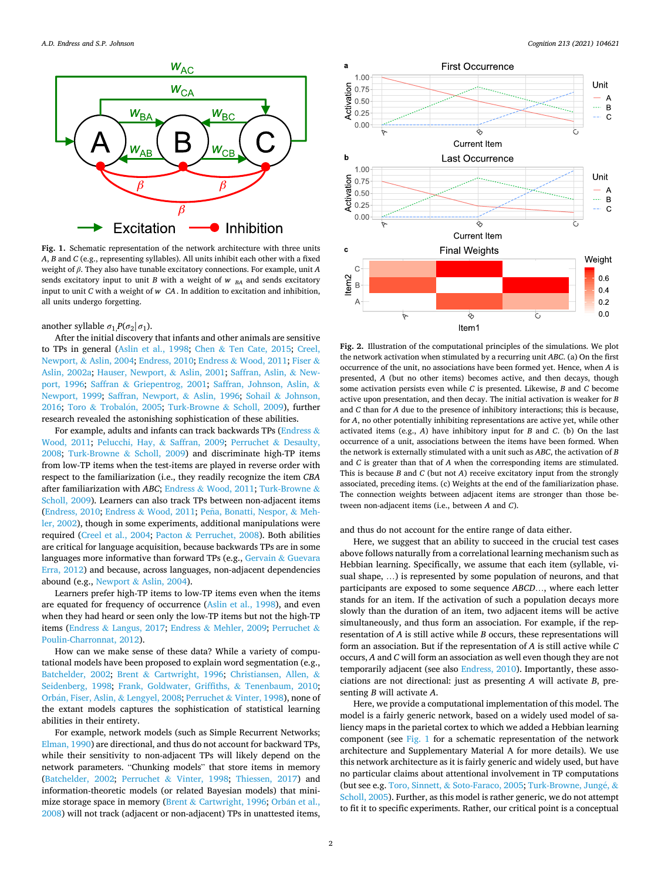<span id="page-1-0"></span>

**Fig. 1.** Schematic representation of the network architecture with three units *A*, *B* and *C* (e.g., representing syllables). All units inhibit each other with a fixed weight of *β*. They also have tunable excitatory connections. For example, unit *A*  sends excitatory input to unit *B* with a weight of *w*  $_{BA}$  and sends excitatory input to unit *C* with a weight of *w CA*. In addition to excitation and inhibition, all units undergo forgetting.

### another syllable  $\sigma_1$ *P*( $\sigma_2$ | $\sigma_1$ ).

After the initial discovery that infants and other animals are sensitive to TPs in general ([Aslin et al., 1998](#page-6-0); Chen & [Ten Cate, 2015;](#page-6-0) [Creel,](#page-7-0)  Newport, & [Aslin, 2004; Endress, 2010;](#page-7-0) Endress & [Wood, 2011](#page-7-0); [Fiser](#page-7-0) & [Aslin, 2002a;](#page-7-0) [Hauser, Newport,](#page-7-0) & Aslin, 2001; [Saffran, Aslin,](#page-7-0) & New[port, 1996](#page-7-0); Saffran & [Griepentrog, 2001;](#page-7-0) [Saffran, Johnson, Aslin,](#page-7-0) & [Newport, 1999;](#page-7-0) [Saffran, Newport,](#page-7-0) & Aslin, 1996; Sohail & [Johnson,](#page-7-0)  [2016;](#page-7-0) Toro & Trobalón, 2005; [Turk-Browne](#page-7-0) & Scholl, 2009), further research revealed the astonishing sophistication of these abilities.

For example, adults and infants can track backwards TPs [\(Endress](#page-7-0) & [Wood, 2011](#page-7-0); [Pelucchi, Hay,](#page-7-0) & Saffran, 2009; [Perruchet](#page-7-0) & Desaulty, [2008;](#page-7-0) [Turk-Browne](#page-7-0) & Scholl, 2009) and discriminate high-TP items from low-TP items when the test-items are played in reverse order with respect to the familiarization (i.e., they readily recognize the item *CBA*  after familiarization with *ABC*; Endress & [Wood, 2011](#page-7-0); [Turk-Browne](#page-7-0) & [Scholl, 2009\)](#page-7-0). Learners can also track TPs between non-adjacent items ([Endress, 2010](#page-7-0); Endress & [Wood, 2011](#page-7-0); Peña, [Bonatti, Nespor,](#page-7-0) & Meh[ler, 2002](#page-7-0)), though in some experiments, additional manipulations were required [\(Creel et al., 2004](#page-7-0); Pacton & [Perruchet, 2008](#page-7-0)). Both abilities are critical for language acquisition, because backwards TPs are in some languages more informative than forward TPs (e.g., [Gervain](#page-7-0) & Guevara [Erra, 2012](#page-7-0)) and because, across languages, non-adjacent dependencies abound (e.g., Newport & [Aslin, 2004](#page-7-0)).

Learners prefer high-TP items to low-TP items even when the items are equated for frequency of occurrence ([Aslin et al., 1998](#page-6-0)), and even when they had heard or seen only the low-TP items but not the high-TP items (Endress & [Langus, 2017;](#page-7-0) Endress & [Mehler, 2009](#page-7-0); [Perruchet](#page-7-0) & [Poulin-Charronnat, 2012\)](#page-7-0).

How can we make sense of these data? While a variety of computational models have been proposed to explain word segmentation (e.g., [Batchelder, 2002](#page-6-0); Brent & [Cartwright, 1996;](#page-6-0) [Christiansen, Allen,](#page-6-0) & [Seidenberg, 1998;](#page-6-0) [Frank, Goldwater, Griffiths,](#page-7-0) & Tenenbaum, 2010; Orbán, Fiser, Aslin, & [Lengyel, 2008;](#page-7-0) Perruchet & [Vinter, 1998\)](#page-7-0), none of the extant models captures the sophistication of statistical learning abilities in their entirety.

For example, network models (such as Simple Recurrent Networks; [Elman, 1990\)](#page-7-0) are directional, and thus do not account for backward TPs, while their sensitivity to non-adjacent TPs will likely depend on the network parameters. "Chunking models" that store items in memory ([Batchelder, 2002](#page-6-0); Perruchet & [Vinter, 1998](#page-7-0); [Thiessen, 2017](#page-7-0)) and information-theoretic models (or related Bayesian models) that minimize storage space in memory (Brent  $&$  [Cartwright, 1996](#page-6-0); Orbán et al., [2008\)](#page-7-0) will not track (adjacent or non-adjacent) TPs in unattested items,



**Fig. 2.** Illustration of the computational principles of the simulations. We plot the network activation when stimulated by a recurring unit *ABC*. (a) On the first occurrence of the unit, no associations have been formed yet. Hence, when *A* is presented, *A* (but no other items) becomes active, and then decays, though some activation persists even while *C* is presented. Likewise, *B* and *C* become active upon presentation, and then decay. The initial activation is weaker for *B*  and *C* than for *A* due to the presence of inhibitory interactions; this is because, for *A*, no other potentially inhibiting representations are active yet, while other activated items (e.g., *A*) have inhibitory input for *B* and *C*. (b) On the last occurrence of a unit, associations between the items have been formed. When the network is externally stimulated with a unit such as *ABC*, the activation of *B*  and *C* is greater than that of *A* when the corresponding items are stimulated. This is because *B* and *C* (but not *A*) receive excitatory input from the strongly associated, preceding items. (c) Weights at the end of the familiarization phase. The connection weights between adjacent items are stronger than those between non-adjacent items (i.e., between *A* and *C*).

and thus do not account for the entire range of data either.

Here, we suggest that an ability to succeed in the crucial test cases above follows naturally from a correlational learning mechanism such as Hebbian learning. Specifically, we assume that each item (syllable, visual shape, …) is represented by some population of neurons, and that participants are exposed to some sequence *ABCD*…, where each letter stands for an item. If the activation of such a population decays more slowly than the duration of an item, two adjacent items will be active simultaneously, and thus form an association. For example, if the representation of *A* is still active while *B* occurs, these representations will form an association. But if the representation of *A* is still active while *C*  occurs, *A* and *C* will form an association as well even though they are not temporarily adjacent (see also [Endress, 2010](#page-7-0)). Importantly, these associations are not directional: just as presenting *A* will activate *B*, presenting *B* will activate *A*.

Here, we provide a computational implementation of this model. The model is a fairly generic network, based on a widely used model of saliency maps in the parietal cortex to which we added a Hebbian learning component (see Fig. 1 for a schematic representation of the network architecture and Supplementary Material A for more details). We use this network architecture as it is fairly generic and widely used, but have no particular claims about attentional involvement in TP computations (but see e.g. Toro, Sinnett, & [Soto-Faraco, 2005; Turk-Browne, Jung](#page-7-0)é, & [Scholl, 2005\)](#page-7-0). Further, as this model is rather generic, we do not attempt to fit it to specific experiments. Rather, our critical point is a conceptual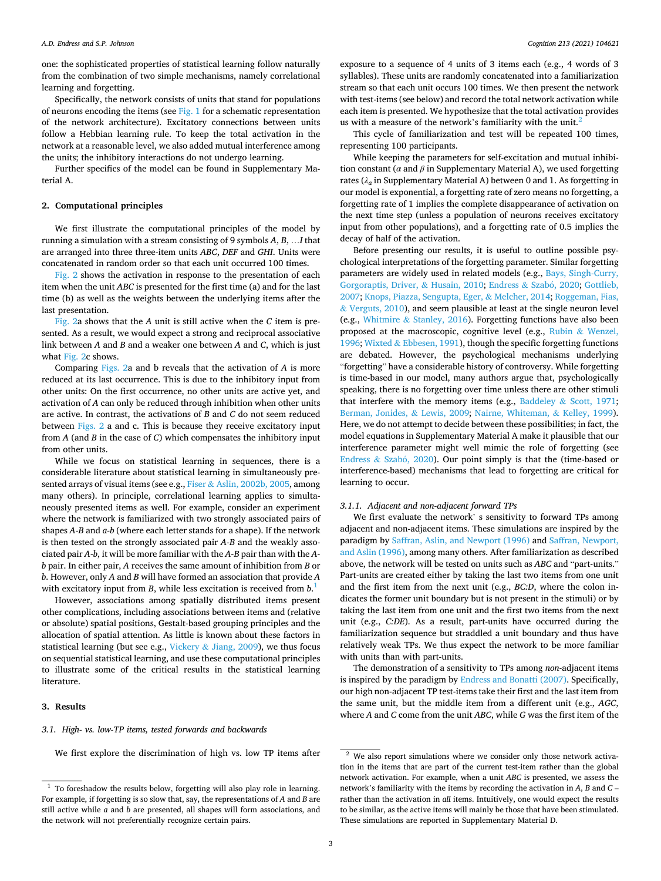one: the sophisticated properties of statistical learning follow naturally from the combination of two simple mechanisms, namely correlational learning and forgetting.

Specifically, the network consists of units that stand for populations of neurons encoding the items (see [Fig. 1](#page-1-0) for a schematic representation of the network architecture). Excitatory connections between units follow a Hebbian learning rule. To keep the total activation in the network at a reasonable level, we also added mutual interference among the units; the inhibitory interactions do not undergo learning.

Further specifics of the model can be found in Supplementary Material A.

### **2. Computational principles**

We first illustrate the computational principles of the model by running a simulation with a stream consisting of 9 symbols *A*, *B*, …*I* that are arranged into three three-item units *ABC*, *DEF* and *GHI*. Units were concatenated in random order so that each unit occurred 100 times.

[Fig. 2](#page-1-0) shows the activation in response to the presentation of each item when the unit *ABC* is presented for the first time (a) and for the last time (b) as well as the weights between the underlying items after the last presentation.

[Fig. 2a](#page-1-0) shows that the *A* unit is still active when the *C* item is presented. As a result, we would expect a strong and reciprocal associative link between *A* and *B* and a weaker one between *A* and *C*, which is just what [Fig. 2c](#page-1-0) shows.

Comparing [Figs. 2](#page-1-0)a and b reveals that the activation of *A* is more reduced at its last occurrence. This is due to the inhibitory input from other units: On the first occurrence, no other units are active yet, and activation of *A* can only be reduced through inhibition when other units are active. In contrast, the activations of *B* and *C* do not seem reduced between [Figs. 2](#page-1-0) a and c. This is because they receive excitatory input from *A* (and *B* in the case of *C*) which compensates the inhibitory input from other units.

While we focus on statistical learning in sequences, there is a considerable literature about statistical learning in simultaneously presented arrays of visual items (see e.g., Fiser & [Aslin, 2002b, 2005,](#page-7-0) among many others). In principle, correlational learning applies to simultaneously presented items as well. For example, consider an experiment where the network is familiarized with two strongly associated pairs of shapes *A-B* and *a-b* (where each letter stands for a shape). If the network is then tested on the strongly associated pair *A-B* and the weakly associated pair *A-b*, it will be more familiar with the *A-B* pair than with the *Ab* pair. In either pair, *A* receives the same amount of inhibition from *B* or *b*. However, only *A* and *B* will have formed an association that provide *A*  with excitatory input from *B*, while less excitation is received from *b*. 1

However, associations among spatially distributed items present other complications, including associations between items and (relative or absolute) spatial positions, Gestalt-based grouping principles and the allocation of spatial attention. As little is known about these factors in statistical learning (but see e.g., Vickery & [Jiang, 2009\)](#page-8-0), we thus focus on sequential statistical learning, and use these computational principles to illustrate some of the critical results in the statistical learning literature.

#### **3. Results**

# *3.1. High- vs. low-TP items, tested forwards and backwards*

We first explore the discrimination of high vs. low TP items after

exposure to a sequence of 4 units of 3 items each (e.g., 4 words of 3 syllables). These units are randomly concatenated into a familiarization stream so that each unit occurs 100 times. We then present the network with test-items (see below) and record the total network activation while each item is presented. We hypothesize that the total activation provides us with a measure of the network's familiarity with the unit. $<sup>2</sup>$ </sup>

This cycle of familiarization and test will be repeated 100 times, representing 100 participants.

While keeping the parameters for self-excitation and mutual inhibition constant (*α* and *β* in Supplementary Material A), we used forgetting rates ( $\lambda_a$  in Supplementary Material A) between 0 and 1. As forgetting in our model is exponential, a forgetting rate of zero means no forgetting, a forgetting rate of 1 implies the complete disappearance of activation on the next time step (unless a population of neurons receives excitatory input from other populations), and a forgetting rate of 0.5 implies the decay of half of the activation.

Before presenting our results, it is useful to outline possible psychological interpretations of the forgetting parameter. Similar forgetting parameters are widely used in related models (e.g., [Bays, Singh-Curry,](#page-6-0)  [Gorgoraptis, Driver,](#page-6-0) & Husain, 2010; [Endress](#page-7-0) & Szabó, 2020; Gottlieb, [2007; Knops, Piazza, Sengupta, Eger,](#page-7-0) & Melcher, 2014; [Roggeman, Fias,](#page-7-0)  & [Verguts, 2010](#page-7-0)), and seem plausible at least at the single neuron level (e.g., Whitmire & [Stanley, 2016\)](#page-8-0). Forgetting functions have also been proposed at the macroscopic, cognitive level (e.g., Rubin & [Wenzel,](#page-7-0)  [1996;](#page-7-0) Wixted & [Ebbesen, 1991](#page-8-0)), though the specific forgetting functions are debated. However, the psychological mechanisms underlying "forgetting" have a considerable history of controversy. While forgetting is time-based in our model, many authors argue that, psychologically speaking, there is no forgetting over time unless there are other stimuli that interfere with the memory items (e.g., Baddeley & [Scott, 1971](#page-6-0); [Berman, Jonides,](#page-6-0) & Lewis, 2009; [Nairne, Whiteman,](#page-7-0) & Kelley, 1999). Here, we do not attempt to decide between these possibilities; in fact, the model equations in Supplementary Material A make it plausible that our interference parameter might well mimic the role of forgetting (see [Endress](#page-7-0) & Szabó,  $2020$ ). Our point simply is that the (time-based or interference-based) mechanisms that lead to forgetting are critical for learning to occur.

## *3.1.1. Adjacent and non-adjacent forward TPs*

We first evaluate the network' s sensitivity to forward TPs among adjacent and non-adjacent items. These simulations are inspired by the paradigm by [Saffran, Aslin, and Newport \(1996\)](#page-7-0) and [Saffran, Newport,](#page-7-0)  [and Aslin \(1996\)](#page-7-0), among many others. After familiarization as described above, the network will be tested on units such as *ABC* and "part-units." Part-units are created either by taking the last two items from one unit and the first item from the next unit (e.g., *BC:D*, where the colon indicates the former unit boundary but is not present in the stimuli) or by taking the last item from one unit and the first two items from the next unit (e.g., *C:DE*). As a result, part-units have occurred during the familiarization sequence but straddled a unit boundary and thus have relatively weak TPs. We thus expect the network to be more familiar with units than with part-units.

The demonstration of a sensitivity to TPs among *non*-adjacent items is inspired by the paradigm by [Endress and Bonatti \(2007\).](#page-7-0) Specifically, our high non-adjacent TP test-items take their first and the last item from the same unit, but the middle item from a different unit (e.g., *AGC*, where *A* and *C* come from the unit *ABC*, while *G* was the first item of the

 $^{\rm 1}$  To foreshadow the results below, forgetting will also play role in learning. For example, if forgetting is so slow that, say, the representations of *A* and *B* are still active while *a* and *b* are presented, all shapes will form associations, and the network will not preferentially recognize certain pairs.

 $2$  We also report simulations where we consider only those network activation in the items that are part of the current test-item rather than the global network activation. For example, when a unit *ABC* is presented, we assess the network's familiarity with the items by recording the activation in *A*, *B* and *C* – rather than the activation in *all* items. Intuitively, one would expect the results to be similar, as the active items will mainly be those that have been stimulated. These simulations are reported in Supplementary Material D.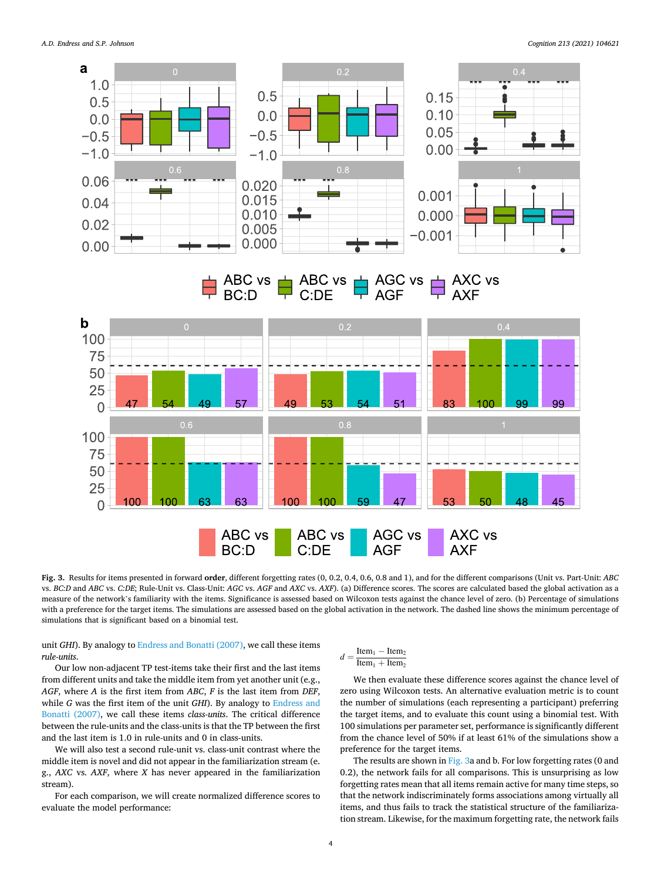

**Fig. 3.** Results for items presented in forward **order**, different forgetting rates (0, 0.2, 0.4, 0.6, 0.8 and 1), and for the different comparisons (Unit vs. Part-Unit: *ABC*  vs. *BC:D* and *ABC* vs. *C:DE*; Rule-Unit vs. Class-Unit: *AGC* vs. *AGF* and *AXC* vs. *AXF*). (a) Difference scores. The scores are calculated based the global activation as a measure of the network's familiarity with the items. Significance is assessed based on Wilcoxon tests against the chance level of zero. (b) Percentage of simulations with a preference for the target items. The simulations are assessed based on the global activation in the network. The dashed line shows the minimum percentage of simulations that is significant based on a binomial test.

unit *GHI*). By analogy to [Endress and Bonatti \(2007\)](#page-7-0), we call these items *rule-units*.

Our low non-adjacent TP test-items take their first and the last items from different units and take the middle item from yet another unit (e.g., *AGF*, where *A* is the first item from *ABC*, *F* is the last item from *DEF*, while *G* was the first item of the unit *GHI*). By analogy to [Endress and](#page-7-0)  [Bonatti \(2007\)](#page-7-0), we call these items *class-units*. The critical difference between the rule-units and the class-units is that the TP between the first and the last item is 1.0 in rule-units and 0 in class-units.

We will also test a second rule-unit vs. class-unit contrast where the middle item is novel and did not appear in the familiarization stream (e. g., *AXC* vs. *AXF*, where *X* has never appeared in the familiarization stream).

For each comparison, we will create normalized difference scores to evaluate the model performance:

# $d = \frac{\text{Item}_1 - \text{Item}_2}{\text{Item}_2}$

 $Item_1 + Item_2$ 

We then evaluate these difference scores against the chance level of zero using Wilcoxon tests. An alternative evaluation metric is to count the number of simulations (each representing a participant) preferring the target items, and to evaluate this count using a binomial test. With 100 simulations per parameter set, performance is significantly different from the chance level of 50% if at least 61% of the simulations show a preference for the target items.

The results are shown in Fig. 3a and b. For low forgetting rates (0 and 0.2), the network fails for all comparisons. This is unsurprising as low forgetting rates mean that all items remain active for many time steps, so that the network indiscriminately forms associations among virtually all items, and thus fails to track the statistical structure of the familiarization stream. Likewise, for the maximum forgetting rate, the network fails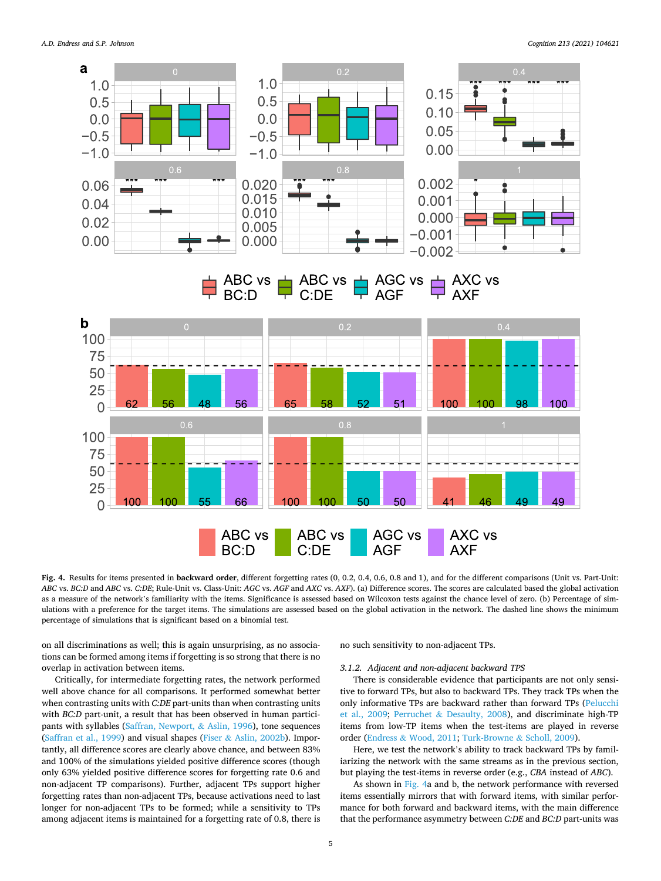

**Fig. 4.** Results for items presented in **backward order**, different forgetting rates (0, 0.2, 0.4, 0.6, 0.8 and 1), and for the different comparisons (Unit vs. Part-Unit: *ABC* vs. *BC:D* and *ABC* vs. *C:DE*; Rule-Unit vs. Class-Unit: *AGC* vs. *AGF* and *AXC* vs. *AXF*). (a) Difference scores. The scores are calculated based the global activation as a measure of the network's familiarity with the items. Significance is assessed based on Wilcoxon tests against the chance level of zero. (b) Percentage of simulations with a preference for the target items. The simulations are assessed based on the global activation in the network. The dashed line shows the minimum percentage of simulations that is significant based on a binomial test.

on all discriminations as well; this is again unsurprising, as no associations can be formed among items if forgetting is so strong that there is no overlap in activation between items.

Critically, for intermediate forgetting rates, the network performed well above chance for all comparisons. It performed somewhat better when contrasting units with *C:DE* part-units than when contrasting units with *BC:D* part-unit, a result that has been observed in human participants with syllables [\(Saffran, Newport,](#page-7-0) & Aslin, 1996), tone sequences ([Saffran et al., 1999](#page-7-0)) and visual shapes (Fiser & [Aslin, 2002b\)](#page-7-0). Importantly, all difference scores are clearly above chance, and between 83% and 100% of the simulations yielded positive difference scores (though only 63% yielded positive difference scores for forgetting rate 0.6 and non-adjacent TP comparisons). Further, adjacent TPs support higher forgetting rates than non-adjacent TPs, because activations need to last longer for non-adjacent TPs to be formed; while a sensitivity to TPs among adjacent items is maintained for a forgetting rate of 0.8, there is

no such sensitivity to non-adjacent TPs.

### *3.1.2. Adjacent and non-adjacent backward TPS*

There is considerable evidence that participants are not only sensitive to forward TPs, but also to backward TPs. They track TPs when the only informative TPs are backward rather than forward TPs ([Pelucchi](#page-7-0)  [et al., 2009](#page-7-0); Perruchet & [Desaulty, 2008](#page-7-0)), and discriminate high-TP items from low-TP items when the test-items are played in reverse order (Endress & [Wood, 2011](#page-7-0); [Turk-Browne](#page-7-0) & Scholl, 2009).

Here, we test the network's ability to track backward TPs by familiarizing the network with the same streams as in the previous section, but playing the test-items in reverse order (e.g., *CBA* instead of *ABC*).

As shown in Fig. 4a and b, the network performance with reversed items essentially mirrors that with forward items, with similar performance for both forward and backward items, with the main difference that the performance asymmetry between *C:DE* and *BC:D* part-units was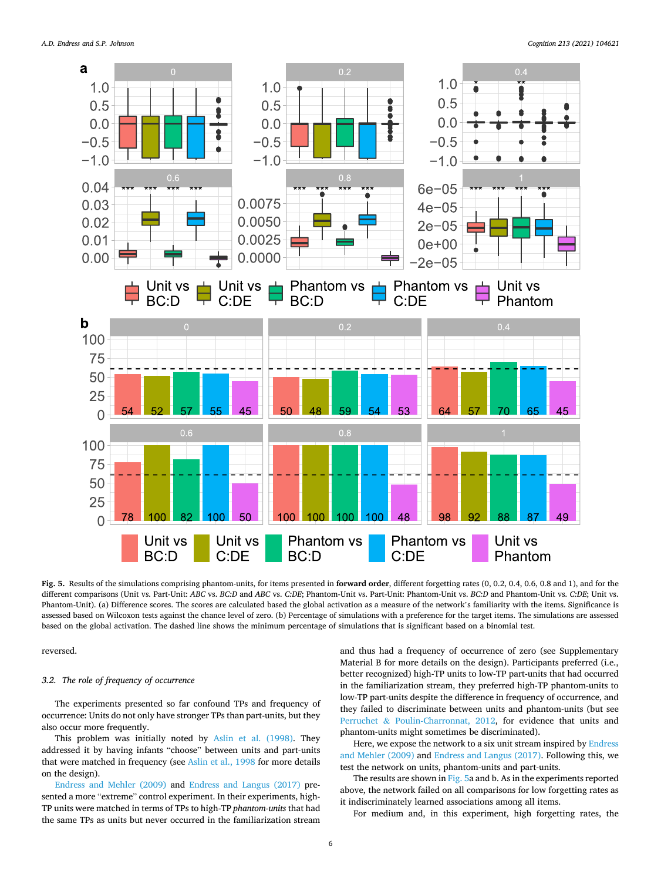

**Fig. 5.** Results of the simulations comprising phantom-units, for items presented in **forward order**, different forgetting rates (0, 0.2, 0.4, 0.6, 0.8 and 1), and for the different comparisons (Unit vs. Part-Unit: *ABC* vs. *BC:D* and *ABC* vs. *C:DE*; Phantom-Unit vs. Part-Unit: Phantom-Unit vs. *BC:D* and Phantom-Unit vs. *C:DE*; Unit vs. Phantom-Unit). (a) Difference scores. The scores are calculated based the global activation as a measure of the network's familiarity with the items. Significance is assessed based on Wilcoxon tests against the chance level of zero. (b) Percentage of simulations with a preference for the target items. The simulations are assessed based on the global activation. The dashed line shows the minimum percentage of simulations that is significant based on a binomial test.

reversed.

# *3.2. The role of frequency of occurrence*

The experiments presented so far confound TPs and frequency of occurrence: Units do not only have stronger TPs than part-units, but they also occur more frequently.

This problem was initially noted by [Aslin et al. \(1998\)](#page-6-0). They addressed it by having infants "choose" between units and part-units that were matched in frequency (see [Aslin et al., 1998](#page-6-0) for more details on the design).

[Endress and Mehler \(2009\)](#page-7-0) and [Endress and Langus \(2017\)](#page-7-0) presented a more "extreme" control experiment. In their experiments, high-TP units were matched in terms of TPs to high-TP *phantom-units* that had the same TPs as units but never occurred in the familiarization stream

and thus had a frequency of occurrence of zero (see Supplementary Material B for more details on the design). Participants preferred (i.e., better recognized) high-TP units to low-TP part-units that had occurred in the familiarization stream, they preferred high-TP phantom-units to low-TP part-units despite the difference in frequency of occurrence, and they failed to discriminate between units and phantom-units (but see Perruchet & [Poulin-Charronnat, 2012,](#page-7-0) for evidence that units and phantom-units might sometimes be discriminated).

Here, we expose the network to a six unit stream inspired by [Endress](#page-7-0)  [and Mehler \(2009\)](#page-7-0) and [Endress and Langus \(2017\).](#page-7-0) Following this, we test the network on units, phantom-units and part-units.

The results are shown in Fig. 5a and b. As in the experiments reported above, the network failed on all comparisons for low forgetting rates as it indiscriminately learned associations among all items.

For medium and, in this experiment, high forgetting rates, the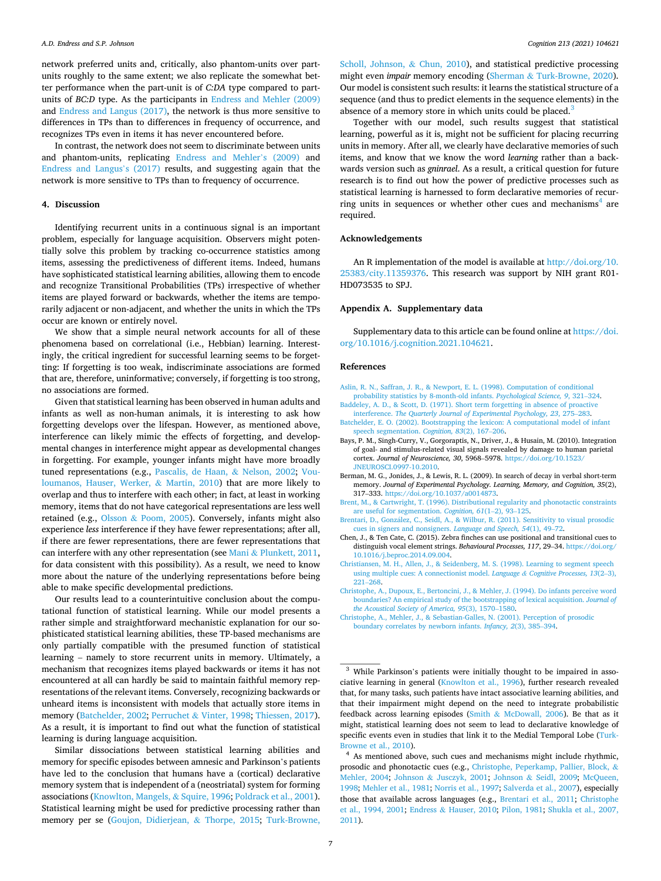<span id="page-6-0"></span>network preferred units and, critically, also phantom-units over partunits roughly to the same extent; we also replicate the somewhat better performance when the part-unit is of *C:DA* type compared to partunits of *BC:D* type. As the participants in [Endress and Mehler \(2009\)](#page-7-0)  and [Endress and Langus \(2017\),](#page-7-0) the network is thus more sensitive to differences in TPs than to differences in frequency of occurrence, and recognizes TPs even in items it has never encountered before.

In contrast, the network does not seem to discriminate between units and phantom-units, replicating [Endress and Mehler](#page-7-0)'s (2009) and [Endress and Langus](#page-7-0)'s (2017) results, and suggesting again that the network is more sensitive to TPs than to frequency of occurrence.

### **4. Discussion**

Identifying recurrent units in a continuous signal is an important problem, especially for language acquisition. Observers might potentially solve this problem by tracking co-occurrence statistics among items, assessing the predictiveness of different items. Indeed, humans have sophisticated statistical learning abilities, allowing them to encode and recognize Transitional Probabilities (TPs) irrespective of whether items are played forward or backwards, whether the items are temporarily adjacent or non-adjacent, and whether the units in which the TPs occur are known or entirely novel.

We show that a simple neural network accounts for all of these phenomena based on correlational (i.e., Hebbian) learning. Interestingly, the critical ingredient for successful learning seems to be forgetting: If forgetting is too weak, indiscriminate associations are formed that are, therefore, uninformative; conversely, if forgetting is too strong, no associations are formed.

Given that statistical learning has been observed in human adults and infants as well as non-human animals, it is interesting to ask how forgetting develops over the lifespan. However, as mentioned above, interference can likely mimic the effects of forgetting, and developmental changes in interference might appear as developmental changes in forgetting. For example, younger infants might have more broadly tuned representations (e.g., [Pascalis, de Haan,](#page-7-0) & Nelson, 2002; [Vou](#page-8-0)[loumanos, Hauser, Werker,](#page-8-0) & Martin, 2010) that are more likely to overlap and thus to interfere with each other; in fact, at least in working memory, items that do not have categorical representations are less well retained (e.g., Olsson & [Poom, 2005\)](#page-7-0). Conversely, infants might also experience *less* interference if they have fewer representations; after all, if there are fewer representations, there are fewer representations that can interfere with any other representation (see Mani & [Plunkett, 2011](#page-7-0), for data consistent with this possibility). As a result, we need to know more about the nature of the underlying representations before being able to make specific developmental predictions.

Our results lead to a counterintuitive conclusion about the computational function of statistical learning. While our model presents a rather simple and straightforward mechanistic explanation for our sophisticated statistical learning abilities, these TP-based mechanisms are only partially compatible with the presumed function of statistical learning – namely to store recurrent units in memory. Ultimately, a mechanism that recognizes items played backwards or items it has not encountered at all can hardly be said to maintain faithful memory representations of the relevant items. Conversely, recognizing backwards or unheard items is inconsistent with models that actually store items in memory (Batchelder, 2002; Perruchet & [Vinter, 1998](#page-7-0); [Thiessen, 2017](#page-7-0)). As a result, it is important to find out what the function of statistical learning is during language acquisition.

Similar dissociations between statistical learning abilities and memory for specific episodes between amnesic and Parkinson's patients have led to the conclusion that humans have a (cortical) declarative memory system that is independent of a (neostriatal) system for forming associations [\(Knowlton, Mangels,](#page-7-0) & Squire, 1996; [Poldrack et al., 2001](#page-7-0)). Statistical learning might be used for predictive processing rather than memory per se [\(Goujon, Didierjean,](#page-7-0) & Thorpe, 2015; [Turk-Browne,](#page-7-0) 

[Scholl, Johnson,](#page-7-0) & Chun, 2010), and statistical predictive processing might even *impair* memory encoding (Sherman & [Turk-Browne, 2020](#page-7-0)). Our model is consistent such results: it learns the statistical structure of a sequence (and thus to predict elements in the sequence elements) in the absence of a memory store in which units could be placed.<sup>3</sup>

Together with our model, such results suggest that statistical learning, powerful as it is, might not be sufficient for placing recurring units in memory. After all, we clearly have declarative memories of such items, and know that we know the word *learning* rather than a backwards version such as *gninrael*. As a result, a critical question for future research is to find out how the power of predictive processes such as statistical learning is harnessed to form declarative memories of recurring units in sequences or whether other cues and mechanisms<sup>4</sup> are required.

#### **Acknowledgements**

An R implementation of the model is available at [http://doi.org/10.](http://doi.org/10.25383/city.11359376)  [25383/city.11359376](http://doi.org/10.25383/city.11359376). This research was support by NIH grant R01- HD073535 to SPJ.

#### **Appendix A. Supplementary data**

Supplementary data to this article can be found online at [https://doi.](https://doi.org/10.1016/j.cognition.2021.104621)  [org/10.1016/j.cognition.2021.104621](https://doi.org/10.1016/j.cognition.2021.104621).

#### **References**

- [Aslin, R. N., Saffran, J. R., & Newport, E. L. \(1998\). Computation of conditional](http://refhub.elsevier.com/S0010-0277(21)00040-8/rf0005) [probability statistics by 8-month-old infants.](http://refhub.elsevier.com/S0010-0277(21)00040-8/rf0005) *Psychological Science, 9*, 321–324.
- [Baddeley, A. D., & Scott, D. \(1971\). Short term forgetting in absence of proactive](http://refhub.elsevier.com/S0010-0277(21)00040-8/rf0010) interference. *[The Quarterly Journal of Experimental Psychology, 23](http://refhub.elsevier.com/S0010-0277(21)00040-8/rf0010)*, 275–283.
- [Batchelder, E. O. \(2002\). Bootstrapping the lexicon: A computational model of infant](http://refhub.elsevier.com/S0010-0277(21)00040-8/rf0015)  [speech segmentation.](http://refhub.elsevier.com/S0010-0277(21)00040-8/rf0015) *Cognition, 83*(2), 167–206.
- Bays, P. M., Singh-Curry, V., Gorgoraptis, N., Driver, J., & Husain, M. (2010). Integration of goal- and stimulus-related visual signals revealed by damage to human parietal cortex. *Journal of Neuroscience, 30*, 5968–5978. [https://doi.org/10.1523/](https://doi.org/10.1523/JNEUROSCI.0997-10.2010) [JNEUROSCI.0997-10.2010](https://doi.org/10.1523/JNEUROSCI.0997-10.2010).
- Berman, M. G., Jonides, J., & Lewis, R. L. (2009). In search of decay in verbal short-term memory. *Journal of Experimental Psychology. Learning, Memory, and Cognition, 35*(2), 317–333. <https://doi.org/10.1037/a0014873>.
- [Brent, M., & Cartwright, T. \(1996\). Distributional regularity and phonotactic constraints](http://refhub.elsevier.com/S0010-0277(21)00040-8/rf0030)  [are useful for segmentation.](http://refhub.elsevier.com/S0010-0277(21)00040-8/rf0030) *Cognition, 61*(1–2), 93–125.
- Brentari, D., González, C., Seidl, A., & Wilbur, R. (2011). Sensitivity to visual prosodic [cues in signers and nonsigners.](http://refhub.elsevier.com/S0010-0277(21)00040-8/rf0035) *Language and Speech, 54*(1), 49–72.
- Chen, J., & Ten Cate, C. (2015). Zebra finches can use positional and transitional cues to distinguish vocal element strings. *Behavioural Processes, 117*, 29–34. [https://doi.org/](https://doi.org/10.1016/j.beproc.2014.09.004)  [10.1016/j.beproc.2014.09.004](https://doi.org/10.1016/j.beproc.2014.09.004).
- [Christiansen, M. H., Allen, J., & Seidenberg, M. S. \(1998\). Learning to segment speech](http://refhub.elsevier.com/S0010-0277(21)00040-8/rf0045) [using multiple cues: A connectionist model.](http://refhub.elsevier.com/S0010-0277(21)00040-8/rf0045) *Language & Cognitive Processes, 13*(2–3), 221–[268](http://refhub.elsevier.com/S0010-0277(21)00040-8/rf0045).
- [Christophe, A., Dupoux, E., Bertoncini, J., & Mehler, J. \(1994\). Do infants perceive word](http://refhub.elsevier.com/S0010-0277(21)00040-8/rf0050)  [boundaries? An empirical study of the bootstrapping of lexical acquisition.](http://refhub.elsevier.com/S0010-0277(21)00040-8/rf0050) *Journal of [the Acoustical Society of America, 95](http://refhub.elsevier.com/S0010-0277(21)00040-8/rf0050)*(3), 1570–1580.
- [Christophe, A., Mehler, J., & Sebastian-Galles, N. \(2001\). Perception of prosodic](http://refhub.elsevier.com/S0010-0277(21)00040-8/rf0055)  [boundary correlates by newborn infants.](http://refhub.elsevier.com/S0010-0277(21)00040-8/rf0055) *Infancy, 2*(3), 385–394.

<sup>&</sup>lt;sup>3</sup> While Parkinson's patients were initially thought to be impaired in associative learning in general ([Knowlton et al., 1996\)](#page-7-0), further research revealed that, for many tasks, such patients have intact associative learning abilities, and that their impairment might depend on the need to integrate probabilistic feedback across learning episodes (Smith & [McDowall, 2006\)](#page-7-0). Be that as it might, statistical learning does not seem to lead to declarative knowledge of specific events even in studies that link it to the Medial Temporal Lobe [\(Turk-](#page-7-0)

[Browne et al., 2010\)](#page-7-0). 4 As mentioned above, such cues and mechanisms might include rhythmic, prosodic and phonotactic cues (e.g., [Christophe, Peperkamp, Pallier, Block,](#page-7-0) & [Mehler, 2004](#page-7-0); Johnson & [Jusczyk, 2001;](#page-7-0) Johnson & [Seidl, 2009](#page-7-0); [McQueen,](#page-7-0)  [1998;](#page-7-0) [Mehler et al., 1981;](#page-7-0) [Norris et al., 1997;](#page-7-0) [Salverda et al., 2007\)](#page-7-0), especially those that available across languages (e.g., Brentari et al., 2011; Christophe et al., 1994, 2001; Endress & [Hauser, 2010;](#page-7-0) [Pilon, 1981;](#page-7-0) [Shukla et al., 2007,](#page-7-0)  [2011\)](#page-7-0).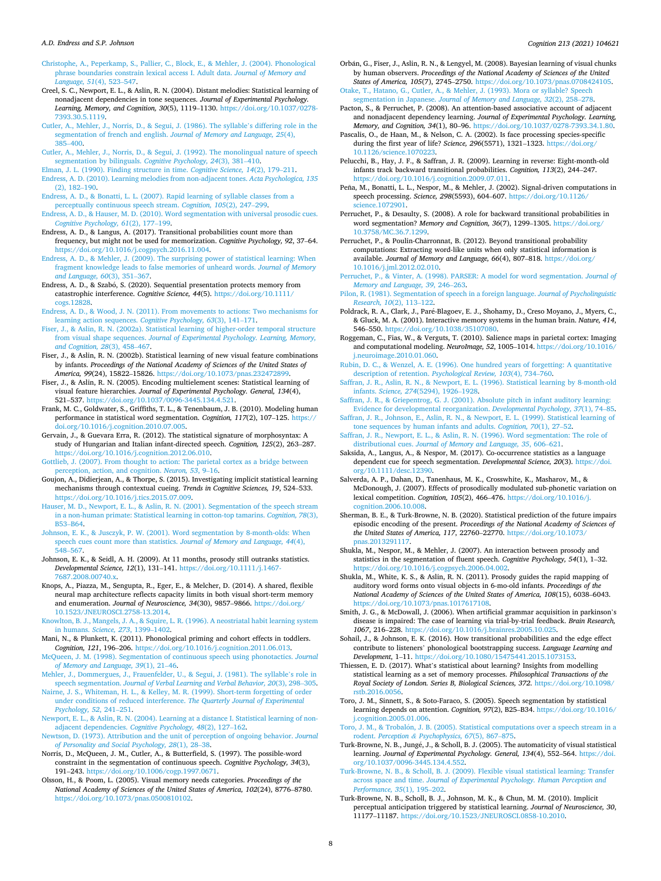#### <span id="page-7-0"></span>*A.D. Endress and S.P. Johnson*

[Christophe, A., Peperkamp, S., Pallier, C., Block, E., & Mehler, J. \(2004\). Phonological](http://refhub.elsevier.com/S0010-0277(21)00040-8/rf0060)  [phrase boundaries constrain lexical access I. Adult data.](http://refhub.elsevier.com/S0010-0277(21)00040-8/rf0060) *Journal of Memory and [Language, 51](http://refhub.elsevier.com/S0010-0277(21)00040-8/rf0060)*(4), 523–547.

Creel, S. C., Newport, E. L., & Aslin, R. N. (2004). Distant melodies: Statistical learning of nonadjacent dependencies in tone sequences. *Journal of Experimental Psychology. Learning, Memory, and Cognition, 30*(5), 1119–1130. [https://doi.org/10.1037/0278-](https://doi.org/10.1037/0278-7393.30.5.1119)  [7393.30.5.1119](https://doi.org/10.1037/0278-7393.30.5.1119).

- [Cutler, A., Mehler, J., Norris, D., & Segui, J. \(1986\). The syllable](http://refhub.elsevier.com/S0010-0277(21)00040-8/rf0075)'s differing role in the [segmentation of french and english.](http://refhub.elsevier.com/S0010-0277(21)00040-8/rf0075) *Journal of Memory and Language, 25*(4), 385–[400](http://refhub.elsevier.com/S0010-0277(21)00040-8/rf0075).
- [Cutler, A., Mehler, J., Norris, D., & Segui, J. \(1992\). The monolingual nature of speech](http://refhub.elsevier.com/S0010-0277(21)00040-8/rf0080) [segmentation by bilinguals.](http://refhub.elsevier.com/S0010-0277(21)00040-8/rf0080) *Cognitive Psychology, 24*(3), 381–410.

[Elman, J. L. \(1990\). Finding structure in time.](http://refhub.elsevier.com/S0010-0277(21)00040-8/rf0085) *Cognitive Science, 14*(2), 179–211. [Endress, A. D. \(2010\). Learning melodies from non-adjacent tones.](http://refhub.elsevier.com/S0010-0277(21)00040-8/rf0090) *Acta Psychologica, 135* 

[\(2\), 182](http://refhub.elsevier.com/S0010-0277(21)00040-8/rf0090)–190. [Endress, A. D., & Bonatti, L. L. \(2007\). Rapid learning of syllable classes from a](http://refhub.elsevier.com/S0010-0277(21)00040-8/rf0095) [perceptually continuous speech stream.](http://refhub.elsevier.com/S0010-0277(21)00040-8/rf0095) *Cognition, 105*(2), 247–299.

[Endress, A. D., & Hauser, M. D. \(2010\). Word segmentation with universal prosodic cues.](http://refhub.elsevier.com/S0010-0277(21)00040-8/rf0100)  *[Cognitive Psychology, 61](http://refhub.elsevier.com/S0010-0277(21)00040-8/rf0100)*(2), 177–199.

Endress, A. D., & Langus, A. (2017). Transitional probabilities count more than frequency, but might not be used for memorization. *Cognitive Psychology, 92*, 37–64. [https://doi.org/10.1016/j.cogpsych.2016.11.004.](https://doi.org/10.1016/j.cogpsych.2016.11.004)

[Endress, A. D., & Mehler, J. \(2009\). The surprising power of statistical learning: When](http://refhub.elsevier.com/S0010-0277(21)00040-8/rf0110)  [fragment knowledge leads to false memories of unheard words.](http://refhub.elsevier.com/S0010-0277(21)00040-8/rf0110) *Journal of Memory [and Language, 60](http://refhub.elsevier.com/S0010-0277(21)00040-8/rf0110)*(3), 351–367.

Endress, A. D., & Szabó, S. (2020). Sequential presentation protects memory from catastrophic interference. *Cognitive Science, 44*(5). [https://doi.org/10.1111/](https://doi.org/10.1111/cogs.12828)  [cogs.12828.](https://doi.org/10.1111/cogs.12828)

[Endress, A. D., & Wood, J. N. \(2011\). From movements to actions: Two mechanisms for](http://refhub.elsevier.com/S0010-0277(21)00040-8/rf0120)  [learning action sequences.](http://refhub.elsevier.com/S0010-0277(21)00040-8/rf0120) *Cognitive Psychology, 63*(3), 141–171.

- [Fiser, J., & Aslin, R. N. \(2002a\). Statistical learning of higher-order temporal structure](http://refhub.elsevier.com/S0010-0277(21)00040-8/rf0125) from visual shape sequences. *[Journal of Experimental Psychology. Learning, Memory,](http://refhub.elsevier.com/S0010-0277(21)00040-8/rf0125) [and Cognition, 28](http://refhub.elsevier.com/S0010-0277(21)00040-8/rf0125)*(3), 458–467.
- Fiser, J., & Aslin, R. N. (2002b). Statistical learning of new visual feature combinations by infants. *Proceedings of the National Academy of Sciences of the United States of America, 99*(24), 15822–15826. <https://doi.org/10.1073/pnas.232472899>.

Fiser, J., & Aslin, R. N. (2005). Encoding multielement scenes: Statistical learning of visual feature hierarchies. *Journal of Experimental Psychology. General, 134*(4), 521–537. <https://doi.org/10.1037/0096-3445.134.4.521>.

Frank, M. C., Goldwater, S., Griffiths, T. L., & Tenenbaum, J. B. (2010). Modeling human performance in statistical word segmentation. *Cognition, 117*(2), 107–125. [https://](https://doi.org/10.1016/j.cognition.2010.07.005) [doi.org/10.1016/j.cognition.2010.07.005](https://doi.org/10.1016/j.cognition.2010.07.005).

Gervain, J., & Guevara Erra, R. (2012). The statistical signature of morphosyntax: A study of Hungarian and Italian infant-directed speech. *Cognition, 125*(2), 263–287.

<https://doi.org/10.1016/j.cognition.2012.06.010>. [Gottlieb, J. \(2007\). From thought to action: The parietal cortex as a bridge between](http://refhub.elsevier.com/S0010-0277(21)00040-8/rf0155)  [perception, action, and cognition.](http://refhub.elsevier.com/S0010-0277(21)00040-8/rf0155) *Neuron, 53*, 9–16.

Goujon, A., Didierjean, A., & Thorpe, S. (2015). Investigating implicit statistical learning mechanisms through contextual cueing. *Trends in Cognitive Sciences, 19*, 524–533. <https://doi.org/10.1016/j.tics.2015.07.009>.

[Hauser, M. D., Newport, E. L., & Aslin, R. N. \(2001\). Segmentation of the speech stream](http://refhub.elsevier.com/S0010-0277(21)00040-8/rf0165)  [in a non-human primate: Statistical learning in cotton-top tamarins.](http://refhub.elsevier.com/S0010-0277(21)00040-8/rf0165) *Cognition, 78*(3), B53–[B64.](http://refhub.elsevier.com/S0010-0277(21)00040-8/rf0165)

[Johnson, E. K., & Jusczyk, P. W. \(2001\). Word segmentation by 8-month-olds: When](http://refhub.elsevier.com/S0010-0277(21)00040-8/rf0170)  [speech cues count more than statistics.](http://refhub.elsevier.com/S0010-0277(21)00040-8/rf0170) *Journal of Memory and Language, 44*(4), 548–[567](http://refhub.elsevier.com/S0010-0277(21)00040-8/rf0170).

Johnson, E. K., & Seidl, A. H. (2009). At 11 months, prosody still outranks statistics. *Developmental Science, 12*(1), 131–141. [https://doi.org/10.1111/j.1467-](https://doi.org/10.1111/j.1467-7687.2008.00740.x)  [7687.2008.00740.x.](https://doi.org/10.1111/j.1467-7687.2008.00740.x)

Knops, A., Piazza, M., Sengupta, R., Eger, E., & Melcher, D. (2014). A shared, flexible neural map architecture reflects capacity limits in both visual short-term memory and enumeration. *Journal of Neuroscience, 34*(30), 9857–9866. [https://doi.org/](https://doi.org/10.1523/JNEUROSCI.2758-13.2014)  [10.1523/JNEUROSCI.2758-13.2014.](https://doi.org/10.1523/JNEUROSCI.2758-13.2014)

[Knowlton, B. J., Mangels, J. A., & Squire, L. R. \(1996\). A neostriatal habit learning system](http://refhub.elsevier.com/S0010-0277(21)00040-8/rf0185)  in humans. *[Science, 273](http://refhub.elsevier.com/S0010-0277(21)00040-8/rf0185)*, 1399–1402.

Mani, N., & Plunkett, K. (2011). Phonological priming and cohort effects in toddlers. *Cognition, 121*, 196–206. [https://doi.org/10.1016/j.cognition.2011.06.013.](https://doi.org/10.1016/j.cognition.2011.06.013)

[McQueen, J. M. \(1998\). Segmentation of continuous speech using phonotactics.](http://refhub.elsevier.com/S0010-0277(21)00040-8/rf0200) *Journal [of Memory and Language, 39](http://refhub.elsevier.com/S0010-0277(21)00040-8/rf0200)*(1), 21–46.

[Mehler, J., Dommergues, J., Frauenfelder, U., & Segui, J. \(1981\). The syllable](http://refhub.elsevier.com/S0010-0277(21)00040-8/rf0205)'s role in speech segmentation. *[Journal of Verbal Learning and Verbal Behavior, 20](http://refhub.elsevier.com/S0010-0277(21)00040-8/rf0205)*(3), 298–305.

[Nairne, J. S., Whiteman, H. L., & Kelley, M. R. \(1999\). Short-term forgetting of order](http://refhub.elsevier.com/S0010-0277(21)00040-8/rf0210) [under conditions of reduced interference.](http://refhub.elsevier.com/S0010-0277(21)00040-8/rf0210) *The Quarterly Journal of Experimental [Psychology, 52](http://refhub.elsevier.com/S0010-0277(21)00040-8/rf0210)*, 241–251.

[Newport, E. L., & Aslin, R. N. \(2004\). Learning at a distance I. Statistical learning of non](http://refhub.elsevier.com/S0010-0277(21)00040-8/rf0215)[adjacent dependencies.](http://refhub.elsevier.com/S0010-0277(21)00040-8/rf0215) *Cognitive Psychology, 48*(2), 127–162.

[Newtson, D. \(1973\). Attribution and the unit of perception of ongoing behavior.](http://refhub.elsevier.com/S0010-0277(21)00040-8/rf0220) *Journal [of Personality and Social Psychology, 28](http://refhub.elsevier.com/S0010-0277(21)00040-8/rf0220)*(1), 28–38.

Norris, D., McQueen, J. M., Cutler, A., & Butterfield, S. (1997). The possible-word constraint in the segmentation of continuous speech. *Cognitive Psychology, 34*(3), 191–243. [https://doi.org/10.1006/cogp.1997.0671.](https://doi.org/10.1006/cogp.1997.0671)

Olsson, H., & Poom, L. (2005). Visual memory needs categories. *Proceedings of the National Academy of Sciences of the United States of America, 102*(24), 8776–8780. [https://doi.org/10.1073/pnas.0500810102.](https://doi.org/10.1073/pnas.0500810102)

Orbán, G., Fiser, J., Aslin, R. N., & Lengyel, M. (2008). Bayesian learning of visual chunks by human observers. *Proceedings of the National Academy of Sciences of the United States of America, 105*(7), 2745–2750. [https://doi.org/10.1073/pnas.0708424105.](https://doi.org/10.1073/pnas.0708424105)

[Otake, T., Hatano, G., Cutler, A., & Mehler, J. \(1993\). Mora or syllable? Speech](http://refhub.elsevier.com/S0010-0277(21)00040-8/rf0070) segmentation in Japanese. *[Journal of Memory and Language, 32](http://refhub.elsevier.com/S0010-0277(21)00040-8/rf0070)*(2), 258–278.

Pacton, S., & Perruchet, P. (2008). An attention-based associative account of adjacent and nonadjacent dependency learning. *Journal of Experimental Psychology. Learning, Memory, and Cognition, 34*(1), 80–96. [https://doi.org/10.1037/0278-7393.34.1.80.](https://doi.org/10.1037/0278-7393.34.1.80)

Pascalis, O., de Haan, M., & Nelson, C. A. (2002). Is face processing species-specific during the first year of life? *Science, 296*(5571), 1321–1323. [https://doi.org/](https://doi.org/10.1126/science.1070223) [10.1126/science.1070223](https://doi.org/10.1126/science.1070223).

Pelucchi, B., Hay, J. F., & Saffran, J. R. (2009). Learning in reverse: Eight-month-old infants track backward transitional probabilities. *Cognition, 113*(2), 244–247. <https://doi.org/10.1016/j.cognition.2009.07.011>.

Peña, M., Bonatti, L. L., Nespor, M., & Mehler, J. (2002). Signal-driven computations in speech processing. *Science, 298*(5593), 604–607. [https://doi.org/10.1126/](https://doi.org/10.1126/science.1072901)  [science.1072901.](https://doi.org/10.1126/science.1072901)

Perruchet, P., & Desaulty, S. (2008). A role for backward transitional probabilities in word segmentation? *Memory and Cognition, 36(7)*, 1299-1305. https://doi.org [10.3758/MC.36.7.1299](https://doi.org/10.3758/MC.36.7.1299).

Perruchet, P., & Poulin-Charronnat, B. (2012). Beyond transitional probability computations: Extracting word-like units when only statistical information is available. *Journal of Memory and Language, 66*(4), 807–818. [https://doi.org/](https://doi.org/10.1016/j.jml.2012.02.010) [10.1016/j.jml.2012.02.010](https://doi.org/10.1016/j.jml.2012.02.010).

[Perruchet, P., & Vinter, A. \(1998\). PARSER: A model for word segmentation.](http://refhub.elsevier.com/S0010-0277(21)00040-8/rf0270) *Journal of [Memory and Language, 39](http://refhub.elsevier.com/S0010-0277(21)00040-8/rf0270)*, 246–263.

[Pilon, R. \(1981\). Segmentation of speech in a foreign language.](http://refhub.elsevier.com/S0010-0277(21)00040-8/rf0275) *Journal of Psycholinguistic [Research, 10](http://refhub.elsevier.com/S0010-0277(21)00040-8/rf0275)*(2), 113–122.

- Poldrack, R. A., Clark, J., Paré-Blagoev, E. J., Shohamy, D., Creso Moyano, J., Myers, C., & Gluck, M. A. (2001). Interactive memory systems in the human brain. *Nature, 414*, 546–550. [https://doi.org/10.1038/35107080.](https://doi.org/10.1038/35107080)
- Roggeman, C., Fias, W., & Verguts, T. (2010). Salience maps in parietal cortex: Imaging and computational modeling. *NeuroImage, 52*, 1005–1014. [https://doi.org/10.1016/](https://doi.org/10.1016/j.neuroimage.2010.01.060)  [j.neuroimage.2010.01.060](https://doi.org/10.1016/j.neuroimage.2010.01.060).

[Rubin, D. C., & Wenzel, A. E. \(1996\). One hundred years of forgetting: A quantitative](http://refhub.elsevier.com/S0010-0277(21)00040-8/rf0290)  description of retention. *[Psychological Review, 103](http://refhub.elsevier.com/S0010-0277(21)00040-8/rf0290)*(4), 734–760.

[Saffran, J. R., Aslin, R. N., & Newport, E. L. \(1996\). Statistical learning by 8-month-old](http://refhub.elsevier.com/S0010-0277(21)00040-8/rf0295)  infants. *Science, 274*[\(5294\), 1926](http://refhub.elsevier.com/S0010-0277(21)00040-8/rf0295)–1928.

[Saffran, J. R., & Griepentrog, G. J. \(2001\). Absolute pitch in infant auditory learning:](http://refhub.elsevier.com/S0010-0277(21)00040-8/rf0300)  [Evidence for developmental reorganization.](http://refhub.elsevier.com/S0010-0277(21)00040-8/rf0300) *Developmental Psychology, 37*(1), 74–85. [Saffran, J. R., Johnson, E., Aslin, R. N., & Newport, E. L. \(1999\). Statistical learning of](http://refhub.elsevier.com/S0010-0277(21)00040-8/rf0305)

[tone sequences by human infants and adults.](http://refhub.elsevier.com/S0010-0277(21)00040-8/rf0305) *Cognition, 70*(1), 27–52.

[Saffran, J. R., Newport, E. L., & Aslin, R. N. \(1996\). Word segmentation: The role of](http://refhub.elsevier.com/S0010-0277(21)00040-8/rf0310) distributional cues. *[Journal of Memory and Language, 35](http://refhub.elsevier.com/S0010-0277(21)00040-8/rf0310)*, 606–621.

Saksida, A., Langus, A., & Nespor, M. (2017). Co-occurrence statistics as a language dependent cue for speech segmentation. *Developmental Science, 20*(3). [https://doi.](https://doi.org/10.1111/desc.12390)  [org/10.1111/desc.12390](https://doi.org/10.1111/desc.12390).

Salverda, A. P., Dahan, D., Tanenhaus, M. K., Crosswhite, K., Masharov, M., & McDonough, J. (2007). Effects of prosodically modulated sub-phonetic variation on lexical competition. *Cognition, 105*(2), 466–476. [https://doi.org/10.1016/j.](https://doi.org/10.1016/j.cognition.2006.10.008)  [cognition.2006.10.008.](https://doi.org/10.1016/j.cognition.2006.10.008)

- Sherman, B. E., & Turk-Browne, N. B. (2020). Statistical prediction of the future impairs episodic encoding of the present. *Proceedings of the National Academy of Sciences of the United States of America, 117*, 22760–22770. [https://doi.org/10.1073/](https://doi.org/10.1073/pnas.2013291117)  [pnas.2013291117](https://doi.org/10.1073/pnas.2013291117).
- Shukla, M., Nespor, M., & Mehler, J. (2007). An interaction between prosody and statistics in the segmentation of fluent speech. *Cognitive Psychology, 54*(1), 1–32. [https://doi.org/10.1016/j.cogpsych.2006.04.002.](https://doi.org/10.1016/j.cogpsych.2006.04.002)

Shukla, M., White, K. S., & Aslin, R. N. (2011). Prosody guides the rapid mapping of auditory word forms onto visual objects in 6-mo-old infants. *Proceedings of the National Academy of Sciences of the United States of America, 108*(15), 6038–6043. [https://doi.org/10.1073/pnas.1017617108.](https://doi.org/10.1073/pnas.1017617108)

Smith, J. G., & McDowall, J. (2006). When artificial grammar acquisition in parkinson's disease is impaired: The case of learning via trial-by-trial feedback. *Brain Research, 1067*, 216–228.<https://doi.org/10.1016/j.brainres.2005.10.025>.

Sohail, J., & Johnson, E. K. (2016). How transitional probabilities and the edge effect contribute to listeners' phonological bootstrapping success. *Language Learning and Development*, 1–11. [https://doi.org/10.1080/15475441.2015.1073153.](https://doi.org/10.1080/15475441.2015.1073153)

Thiessen, E. D. (2017). What's statistical about learning? Insights from modelling statistical learning as a set of memory processes. *Philosophical Transactions of the Royal Society of London. Series B, Biological Sciences, 372*. [https://doi.org/10.1098/](https://doi.org/10.1098/rstb.2016.0056)  [rstb.2016.0056.](https://doi.org/10.1098/rstb.2016.0056)

Toro, J. M., Sinnett, S., & Soto-Faraco, S. (2005). Speech segmentation by statistical learning depends on attention. *Cognition, 97*(2), B25–B34. [https://doi.org/10.1016/](https://doi.org/10.1016/j.cognition.2005.01.006)  [j.cognition.2005.01.006](https://doi.org/10.1016/j.cognition.2005.01.006).

Toro, J. M., & Trobalón, J. B. (2005). Statistical computations over a speech stream in a rodent. *Perception & [Psychophysics, 67](http://refhub.elsevier.com/S0010-0277(21)00040-8/rf0360)*(5), 867–875.

Turk-Browne, N. B., Jungé, J., & Scholl, B. J. (2005). The automaticity of visual statistical learning. *Journal of Experimental Psychology. General, 134*(4), 552–564. [https://doi.](https://doi.org/10.1037/0096-3445.134.4.552) [org/10.1037/0096-3445.134.4.552.](https://doi.org/10.1037/0096-3445.134.4.552)

[Turk-Browne, N. B., & Scholl, B. J. \(2009\). Flexible visual statistical learning: Transfer](http://refhub.elsevier.com/S0010-0277(21)00040-8/rf0370)  across space and time. *[Journal of Experimental Psychology. Human Perception and](http://refhub.elsevier.com/S0010-0277(21)00040-8/rf0370) [Performance, 35](http://refhub.elsevier.com/S0010-0277(21)00040-8/rf0370)*(1), 195–202.

Turk-Browne, N. B., Scholl, B. J., Johnson, M. K., & Chun, M. M. (2010). Implicit perceptual anticipation triggered by statistical learning. *Journal of Neuroscience, 30*, 11177–11187. [https://doi.org/10.1523/JNEUROSCI.0858-10.2010.](https://doi.org/10.1523/JNEUROSCI.0858-10.2010)